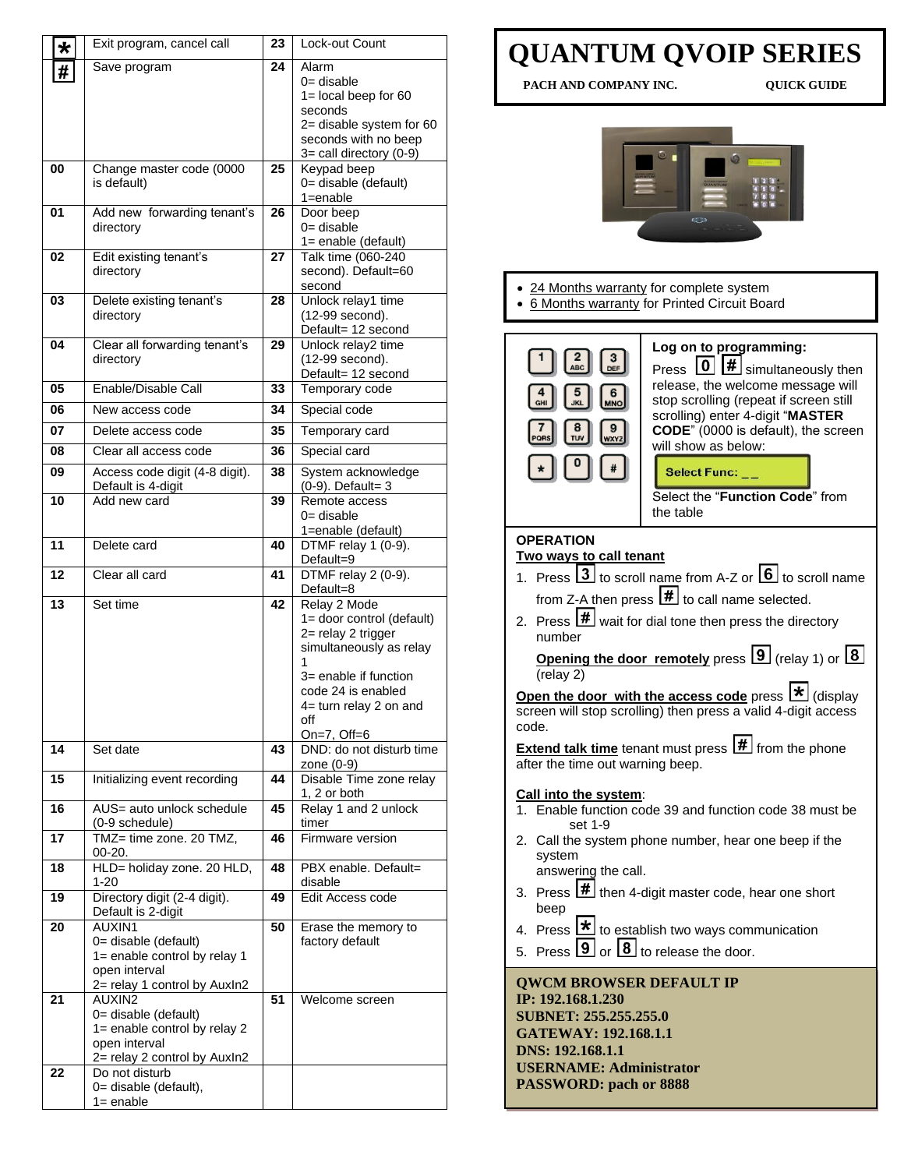| $\star$ | Exit program, cancel call                                                                                       | 23 | Lock-out Count                                                                                                                                                                                 |
|---------|-----------------------------------------------------------------------------------------------------------------|----|------------------------------------------------------------------------------------------------------------------------------------------------------------------------------------------------|
| #       | Save program                                                                                                    | 24 | Alarm<br>$0 =$ disable<br>$1 =$ local beep for 60<br>seconds<br>2= disable system for 60<br>seconds with no beep<br>$3=$ call directory (0-9)                                                  |
| 00      | Change master code (0000<br>is default)                                                                         | 25 | Keypad beep<br>0= disable (default)<br>$1 =$ enable                                                                                                                                            |
| 01      | Add new forwarding tenant's<br>directory                                                                        | 26 | Door beep<br>$0 =$ disable<br>1= enable (default)                                                                                                                                              |
| 02      | Edit existing tenant's<br>directory                                                                             | 27 | Talk time (060-240<br>second). Default=60<br>second                                                                                                                                            |
| 03      | Delete existing tenant's<br>directory                                                                           | 28 | Unlock relay1 time<br>(12-99 second).<br>Default= 12 second                                                                                                                                    |
| 04      | Clear all forwarding tenant's<br>directory                                                                      | 29 | Unlock relay2 time<br>(12-99 second).<br>Default= 12 second                                                                                                                                    |
| 05      | Enable/Disable Call                                                                                             | 33 | Temporary code                                                                                                                                                                                 |
| 06      | New access code                                                                                                 | 34 | Special code                                                                                                                                                                                   |
| 07      | Delete access code                                                                                              | 35 | Temporary card                                                                                                                                                                                 |
| 08      | Clear all access code                                                                                           | 36 | Special card                                                                                                                                                                                   |
| 09      | Access code digit (4-8 digit).<br>Default is 4-digit                                                            | 38 | System acknowledge<br>(0-9). Default= 3                                                                                                                                                        |
| 10      | Add new card                                                                                                    | 39 | Remote access<br>$0 =$ disable<br>1=enable (default)                                                                                                                                           |
| 11      | Delete card                                                                                                     | 40 | DTMF relay 1 (0-9).<br>Default=9                                                                                                                                                               |
| 12      | Clear all card                                                                                                  | 41 | DTMF relay 2 (0-9).<br>Default=8                                                                                                                                                               |
| 13      | Set time                                                                                                        | 42 | Relay 2 Mode<br>1= door control (default)<br>2= relay 2 trigger<br>simultaneously as relay<br>1<br>3= enable if function<br>code 24 is enabled<br>4= turn relay 2 on and<br>off<br>On=7, Off=6 |
| 14      | Set date                                                                                                        | 43 | DND: do not disturb time<br>zone (0-9)                                                                                                                                                         |
| 15      | Initializing event recording                                                                                    | 44 | Disable Time zone relay<br>1, 2 or both                                                                                                                                                        |
| 16      | AUS= auto unlock schedule<br>(0-9 schedule)                                                                     | 45 | Relay 1 and 2 unlock<br>timer                                                                                                                                                                  |
| 17      | TMZ= time zone. 20 TMZ,<br>00-20.                                                                               | 46 | Firmware version                                                                                                                                                                               |
| 18      | HLD= holiday zone. 20 HLD,<br>$1 - 20$                                                                          | 48 | PBX enable. Default=<br>disable                                                                                                                                                                |
| 19      | Directory digit (2-4 digit).<br>Default is 2-digit                                                              | 49 | Edit Access code                                                                                                                                                                               |
| 20      | AUXIN1<br>0= disable (default)<br>1= enable control by relay 1<br>open interval<br>2= relay 1 control by Auxln2 | 50 | Erase the memory to<br>factory default                                                                                                                                                         |
| 21      | AUXIN2<br>0= disable (default)<br>1= enable control by relay 2<br>open interval<br>2= relay 2 control by Auxln2 | 51 | Welcome screen                                                                                                                                                                                 |
| 22      | Do not disturb<br>0= disable (default),<br>$1 =$ enable                                                         |    |                                                                                                                                                                                                |

## **QUANTUM QVOIP SERIES**

**PACH AND COMPANY INC. QUICK GUIDE** 



- 24 Months warranty for complete system
- 6 Months warranty for Printed Circuit Board